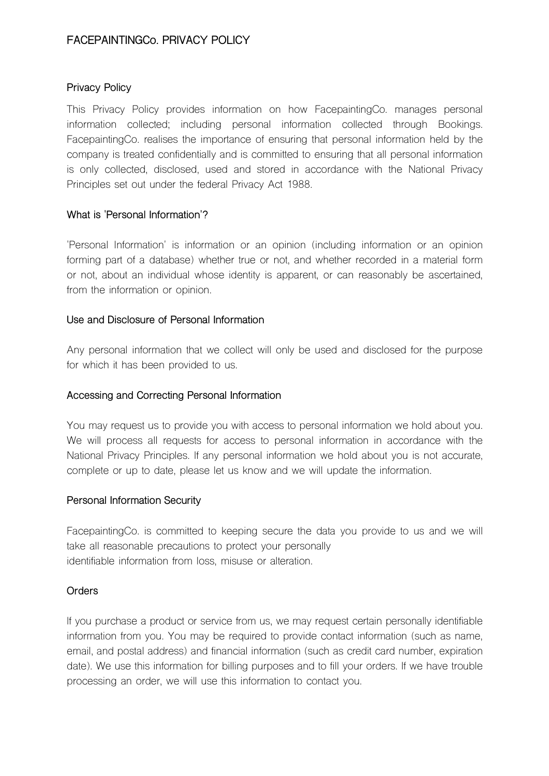# **FACEPAINTINGCo. PRIVACY POLICY**

### **Privacy Policy**

This Privacy Policy provides information on how FacepaintingCo. manages personal information collected; including personal information collected through Bookings. FacepaintingCo. realises the importance of ensuring that personal information held by the company is treated confidentially and is committed to ensuring that all personal information is only collected, disclosed, used and stored in accordance with the National Privacy Principles set out under the federal Privacy Act 1988.

### **What is 'Personal Information'?**

'Personal Information' is information or an opinion (including information or an opinion forming part of a database) whether true or not, and whether recorded in a material form or not, about an individual whose identity is apparent, or can reasonably be ascertained, from the information or opinion.

### **Use and Disclosure of Personal Information**

Any personal information that we collect will only be used and disclosed for the purpose for which it has been provided to us.

## **Accessing and Correcting Personal Information**

You may request us to provide you with access to personal information we hold about you. We will process all requests for access to personal information in accordance with the National Privacy Principles. If any personal information we hold about you is not accurate, complete or up to date, please let us know and we will update the information.

#### **Personal Information Security**

FacepaintingCo. is committed to keeping secure the data you provide to us and we will take all reasonable precautions to protect your personally identifiable information from loss, misuse or alteration.

## **Orders**

If you purchase a product or service from us, we may request certain personally identifiable information from you. You may be required to provide contact information (such as name, email, and postal address) and financial information (such as credit card number, expiration date). We use this information for billing purposes and to fill your orders. If we have trouble processing an order, we will use this information to contact you.